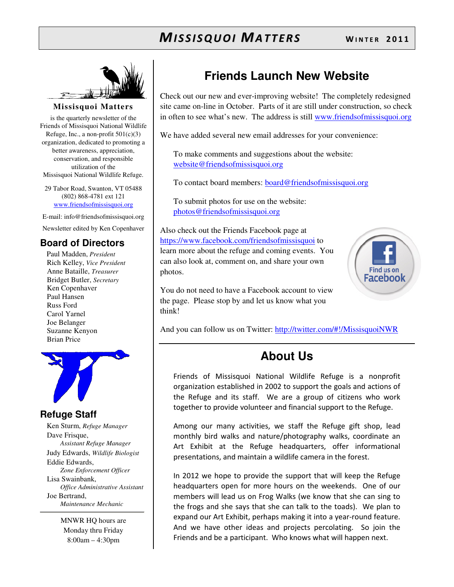

#### **Missisquoi Matters**

is the quarterly newsletter of the Friends of Missisquoi National Wildlife Refuge, Inc., a non-profit  $501(c)(3)$ organization, dedicated to promoting a better awareness, appreciation, conservation, and responsible utilization of the Missisquoi National Wildlife Refuge.

29 Tabor Road, Swanton, VT 05488 (802) 868-4781 ext 121 www.friendsofmissisquoi.org

E-mail: info@friendsofmissisquoi.org Newsletter edited by Ken Copenhaver

#### **Board of Directors**

Paul Madden, *President* Rich Kelley, *Vice President* Anne Bataille, *Treasurer* Bridget Butler, *Secretary* Ken Copenhaver Paul Hansen Russ Ford Carol Yarnel Joe Belanger Suzanne Kenyon Brian Price



#### **Refuge Staff**

Ken Sturm, *Refuge Manager* Dave Frisque, *Assistant Refuge Manager* Judy Edwards, *Wildlife Biologist* Eddie Edwards, *Zone Enforcement Officer* Lisa Swainbank, *Office Administrative Assistant*  Joe Bertrand, *Maintenance Mechanic*

> MNWR HQ hours are Monday thru Friday 8:00am – 4:30pm

### **Friends Launch New Website**

Check out our new and ever-improving website! The completely redesigned site came on-line in October. Parts of it are still under construction, so check in often to see what's new. The address is still www.friendsofmissisquoi.org

We have added several new email addresses for your convenience:

To make comments and suggestions about the website: website@friendsofmissisquoi.org

To contact board members: **board@friendsofmissisquoi.org** 

To submit photos for use on the website: photos@friendsofmissisquoi.org

Also check out the Friends Facebook page at https://www.facebook.com/friendsofmissisquoi to learn more about the refuge and coming events. You can also look at, comment on, and share your own photos.



You do not need to have a Facebook account to view the page. Please stop by and let us know what you think!

And you can follow us on Twitter: http://twitter.com/#!/MissisquoiNWR

### **About Us**

Friends of Missisquoi National Wildlife Refuge is a nonprofit organization established in 2002 to support the goals and actions of the Refuge and its staff. We are a group of citizens who work together to provide volunteer and financial support to the Refuge.

Among our many activities, we staff the Refuge gift shop, lead monthly bird walks and nature/photography walks, coordinate an Art Exhibit at the Refuge headquarters, offer informational presentations, and maintain a wildlife camera in the forest.

In 2012 we hope to provide the support that will keep the Refuge headquarters open for more hours on the weekends. One of our members will lead us on Frog Walks (we know that she can sing to the frogs and she says that she can talk to the toads). We plan to expand our Art Exhibit, perhaps making it into a year-round feature. And we have other ideas and projects percolating. So join the Friends and be a participant. Who knows what will happen next.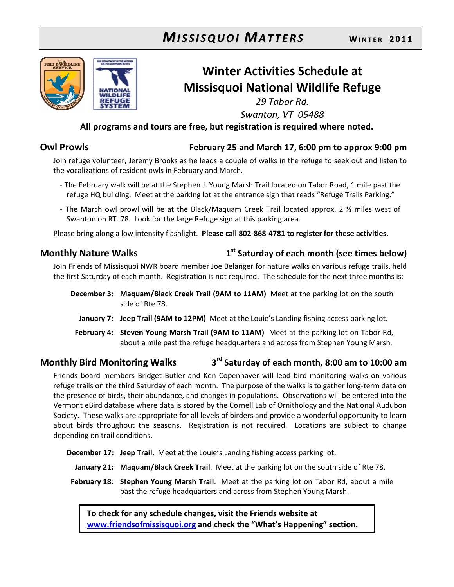

# Winter Activities Schedule at Missisquoi National Wildlife Refuge

29 Tabor Rd. Swanton, VT 05488

#### All programs and tours are free, but registration is required where noted.

#### Owl Prowls February 25 and March 17, 6:00 pm to approx 9:00 pm

Join refuge volunteer, Jeremy Brooks as he leads a couple of walks in the refuge to seek out and listen to the vocalizations of resident owls in February and March.

- The February walk will be at the Stephen J. Young Marsh Trail located on Tabor Road, 1 mile past the refuge HQ building. Meet at the parking lot at the entrance sign that reads "Refuge Trails Parking."
- The March owl prowl will be at the Black/Maquam Creek Trail located approx. 2 ½ miles west of Swanton on RT. 78. Look for the large Refuge sign at this parking area.

Please bring along a low intensity flashlight. Please call 802-868-4781 to register for these activities.

#### Monthly Nature Walks 1

#### $1<sup>st</sup>$  Saturday of each month (see times below)

Join Friends of Missisquoi NWR board member Joe Belanger for nature walks on various refuge trails, held the first Saturday of each month. Registration is not required. The schedule for the next three months is:

- December 3: Maquam/Black Creek Trail (9AM to 11AM) Meet at the parking lot on the south side of Rte 78.
	- January 7: Jeep Trail (9AM to 12PM) Meet at the Louie's Landing fishing access parking lot.
- February 4: Steven Young Marsh Trail (9AM to 11AM) Meet at the parking lot on Tabor Rd, about a mile past the refuge headquarters and across from Stephen Young Marsh.

#### Monthly Bird Monitoring Walks 3 3<sup>rd</sup> Saturday of each month, 8:00 am to 10:00 am

Friends board members Bridget Butler and Ken Copenhaver will lead bird monitoring walks on various refuge trails on the third Saturday of each month. The purpose of the walks is to gather long-term data on the presence of birds, their abundance, and changes in populations. Observations will be entered into the Vermont eBird database where data is stored by the Cornell Lab of Ornithology and the National Audubon Society. These walks are appropriate for all levels of birders and provide a wonderful opportunity to learn about birds throughout the seasons. Registration is not required. Locations are subject to change depending on trail conditions.

December 17: Jeep Trail. Meet at the Louie's Landing fishing access parking lot.

- January 21: Maquam/Black Creek Trail. Meet at the parking lot on the south side of Rte 78.
- February 18: Stephen Young Marsh Trail. Meet at the parking lot on Tabor Rd, about a mile past the refuge headquarters and across from Stephen Young Marsh.

To check for any schedule changes, visit the Friends website at www.friendsofmissisquoi.org and check the "What's Happening" section.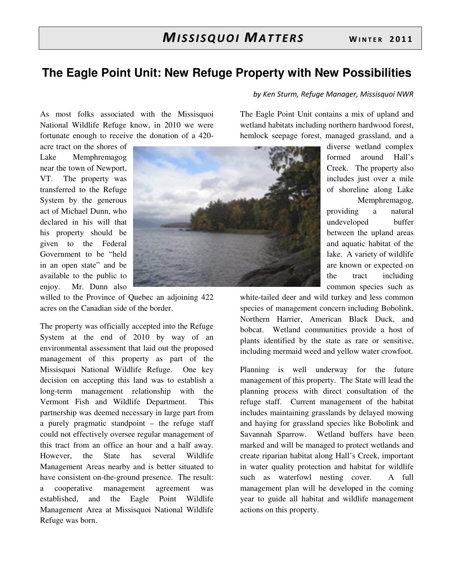### **The Eagle Point Unit: New Refuge Property with New Possibilities**

As most folks associated with the Missisquoi National Wildlife Refuge know, in 2010 we were fortunate enough to receive the donation of a 420-

acre tract on the shores of Lake Memphremagog near the town of Newport, VT. The property was transferred to the Refuge System by the generous act of Michael Dunn, who declared in his will that his property should be given to the Federal Government to be "held in an open state" and be available to the public to enjoy. Mr. Dunn also



willed to the Province of Quebec an adjoining 422 acres on the Canadian side of the border.

The property was officially accepted into the Refuge System at the end of 2010 by way of an environmental assessment that laid out the proposed management of this property as part of the Missisquoi National Wildlife Refuge. One key decision on accepting this land was to establish a long-term management relationship with the Vermont Fish and Wildlife Department. This partnership was deemed necessary in large part from a purely pragmatic standpoint – the refuge staff could not effectively oversee regular management of this tract from an office an hour and a half away. However, the State has several Wildlife Management Areas nearby and is better situated to have consistent on-the-ground presence. The result: a cooperative management agreement was established, and the Eagle Point Wildlife Management Area at Missisquoi National Wildlife Refuge was born.

The Eagle Point Unit contains a mix of upland and wetland habitats including northern hardwood forest, hemlock seepage forest, managed grassland, and a

by Ken Sturm, Refuge Manager, Missisquoi NWR

diverse wetland complex formed around Hall's Creek. The property also includes just over a mile of shoreline along Lake Memphremagog, providing a natural undeveloped buffer between the upland areas and aquatic habitat of the lake. A variety of wildlife are known or expected on the tract including common species such as

white-tailed deer and wild turkey and less common species of management concern including Bobolink, Northern Harrier, American Black Duck, and bobcat. Wetland communities provide a host of plants identified by the state as rare or sensitive, including mermaid weed and yellow water crowfoot.

Planning is well underway for the future management of this property. The State will lead the planning process with direct consultation of the refuge staff. Current management of the habitat includes maintaining grasslands by delayed mowing and haying for grassland species like Bobolink and Savannah Sparrow. Wetland buffers have been marked and will be managed to protect wetlands and create riparian habitat along Hall's Creek, important in water quality protection and habitat for wildlife such as waterfowl nesting cover. A full management plan will be developed in the coming year to guide all habitat and wildlife management actions on this property.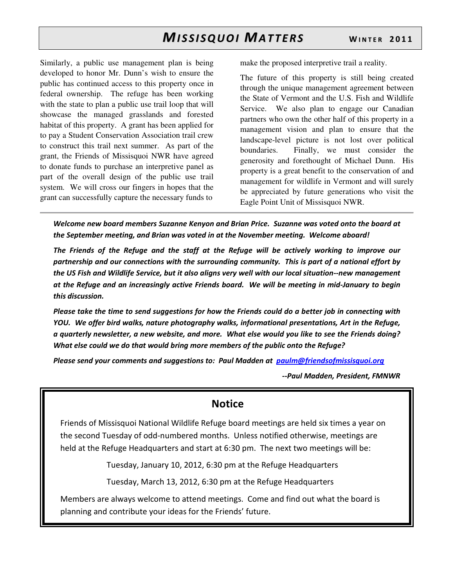Similarly, a public use management plan is being developed to honor Mr. Dunn's wish to ensure the public has continued access to this property once in federal ownership. The refuge has been working with the state to plan a public use trail loop that will showcase the managed grasslands and forested habitat of this property. A grant has been applied for to pay a Student Conservation Association trail crew to construct this trail next summer. As part of the grant, the Friends of Missisquoi NWR have agreed to donate funds to purchase an interpretive panel as part of the overall design of the public use trail system. We will cross our fingers in hopes that the grant can successfully capture the necessary funds to

make the proposed interpretive trail a reality.

The future of this property is still being created through the unique management agreement between the State of Vermont and the U.S. Fish and Wildlife Service. We also plan to engage our Canadian partners who own the other half of this property in a management vision and plan to ensure that the landscape-level picture is not lost over political boundaries. Finally, we must consider the generosity and forethought of Michael Dunn. His property is a great benefit to the conservation of and management for wildlife in Vermont and will surely be appreciated by future generations who visit the Eagle Point Unit of Missisquoi NWR.

Welcome new board members Suzanne Kenyon and Brian Price. Suzanne was voted onto the board at the September meeting, and Brian was voted in at the November meeting. Welcome aboard!

The Friends of the Refuge and the staff at the Refuge will be actively working to improve our partnership and our connections with the surrounding community. This is part of a national effort by the US Fish and Wildlife Service, but it also aligns very well with our local situation--new management at the Refuge and an increasingly active Friends board. We will be meeting in mid-January to begin this discussion.

Please take the time to send suggestions for how the Friends could do a better job in connecting with YOU. We offer bird walks, nature photography walks, informational presentations, Art in the Refuge, a quarterly newsletter, a new website, and more. What else would you like to see the Friends doing? What else could we do that would bring more members of the public onto the Refuge?

Please send your comments and suggestions to: Paul Madden at paulm@friendsofmissisquoi.org

--Paul Madden, President, FMNWR

#### **Notice**

Friends of Missisquoi National Wildlife Refuge board meetings are held six times a year on the second Tuesday of odd-numbered months. Unless notified otherwise, meetings are held at the Refuge Headquarters and start at 6:30 pm. The next two meetings will be:

Tuesday, January 10, 2012, 6:30 pm at the Refuge Headquarters

Tuesday, March 13, 2012, 6:30 pm at the Refuge Headquarters

Members are always welcome to attend meetings. Come and find out what the board is planning and contribute your ideas for the Friends' future.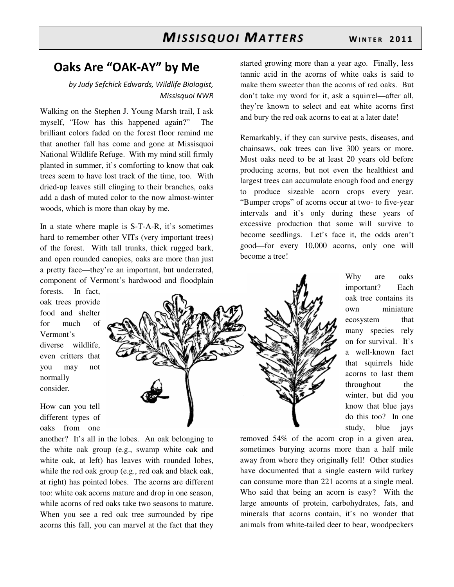### Oaks Are "OAK-AY" by Me

#### by Judy Sefchick Edwards, Wildlife Biologist, Missisquoi NWR

Walking on the Stephen J. Young Marsh trail, I ask myself, "How has this happened again?" The brilliant colors faded on the forest floor remind me that another fall has come and gone at Missisquoi National Wildlife Refuge. With my mind still firmly planted in summer, it's comforting to know that oak trees seem to have lost track of the time, too. With dried-up leaves still clinging to their branches, oaks add a dash of muted color to the now almost-winter woods, which is more than okay by me.

In a state where maple is S-T-A-R, it's sometimes hard to remember other VITs (very important trees) of the forest. With tall trunks, thick rugged bark, and open rounded canopies, oaks are more than just a pretty face—they're an important, but underrated, component of Vermont's hardwood and floodplain

forests. In fact, oak trees provide food and shelter for much of Vermont's diverse wildlife, even critters that you may not normally consider.

How can you tell different types of oaks from one

another? It's all in the lobes. An oak belonging to the white oak group (e.g., swamp white oak and white oak, at left) has leaves with rounded lobes, while the red oak group (e.g., red oak and black oak, at right) has pointed lobes. The acorns are different too: white oak acorns mature and drop in one season, while acorns of red oaks take two seasons to mature. When you see a red oak tree surrounded by ripe acorns this fall, you can marvel at the fact that they

started growing more than a year ago. Finally, less tannic acid in the acorns of white oaks is said to make them sweeter than the acorns of red oaks. But don't take my word for it, ask a squirrel—after all, they're known to select and eat white acorns first and bury the red oak acorns to eat at a later date!

Remarkably, if they can survive pests, diseases, and chainsaws, oak trees can live 300 years or more. Most oaks need to be at least 20 years old before producing acorns, but not even the healthiest and largest trees can accumulate enough food and energy to produce sizeable acorn crops every year. "Bumper crops" of acorns occur at two- to five-year intervals and it's only during these years of excessive production that some will survive to become seedlings. Let's face it, the odds aren't good—for every 10,000 acorns, only one will become a tree!



Why are oaks important? Each oak tree contains its own miniature ecosystem that many species rely on for survival. It's a well-known fact that squirrels hide acorns to last them throughout the winter, but did you know that blue jays do this too? In one study, blue jays

removed 54% of the acorn crop in a given area, sometimes burying acorns more than a half mile away from where they originally fell! Other studies have documented that a single eastern wild turkey can consume more than 221 acorns at a single meal. Who said that being an acorn is easy? With the large amounts of protein, carbohydrates, fats, and minerals that acorns contain, it's no wonder that animals from white-tailed deer to bear, woodpeckers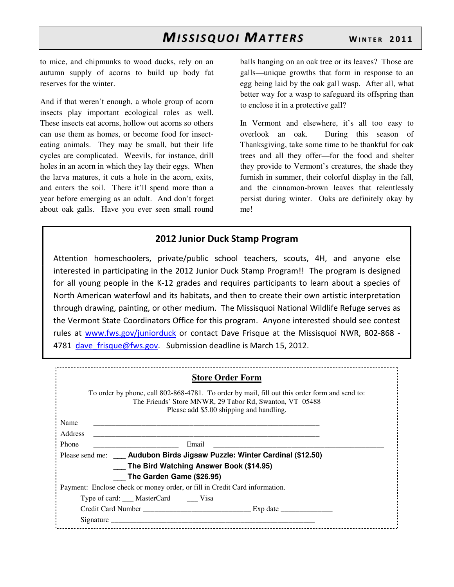to mice, and chipmunks to wood ducks, rely on an autumn supply of acorns to build up body fat reserves for the winter.

And if that weren't enough, a whole group of acorn insects play important ecological roles as well. These insects eat acorns, hollow out acorns so others can use them as homes, or become food for insecteating animals. They may be small, but their life cycles are complicated. Weevils, for instance, drill holes in an acorn in which they lay their eggs. When the larva matures, it cuts a hole in the acorn, exits, and enters the soil. There it'll spend more than a year before emerging as an adult. And don't forget about oak galls. Have you ever seen small round

balls hanging on an oak tree or its leaves? Those are galls—unique growths that form in response to an egg being laid by the oak gall wasp. After all, what better way for a wasp to safeguard its offspring than to enclose it in a protective gall?

In Vermont and elsewhere, it's all too easy to overlook an oak. During this season of Thanksgiving, take some time to be thankful for oak trees and all they offer—for the food and shelter they provide to Vermont's creatures, the shade they furnish in summer, their colorful display in the fall, and the cinnamon-brown leaves that relentlessly persist during winter. Oaks are definitely okay by me!

#### 2012 Junior Duck Stamp Program

Attention homeschoolers, private/public school teachers, scouts, 4H, and anyone else interested in participating in the 2012 Junior Duck Stamp Program!! The program is designed for all young people in the K-12 grades and requires participants to learn about a species of North American waterfowl and its habitats, and then to create their own artistic interpretation through drawing, painting, or other medium. The Missisquoi National Wildlife Refuge serves as the Vermont State Coordinators Office for this program. Anyone interested should see contest rules at www.fws.gov/juniorduck or contact Dave Frisque at the Missisquoi NWR, 802-868 - 4781 dave frisque@fws.gov. Submission deadline is March 15, 2012.

|                | <b>Store Order Form</b>                                                                                                                                                                              |
|----------------|------------------------------------------------------------------------------------------------------------------------------------------------------------------------------------------------------|
|                | To order by phone, call 802-868-4781. To order by mail, fill out this order form and send to:<br>The Friends' Store MNWR, 29 Tabor Rd, Swanton, VT 05488<br>Please add \$5.00 shipping and handling. |
| Name           |                                                                                                                                                                                                      |
| <b>Address</b> |                                                                                                                                                                                                      |
| Phone          | Email                                                                                                                                                                                                |
|                | Please send me: ____ Audubon Birds Jigsaw Puzzle: Winter Cardinal (\$12.50)                                                                                                                          |
|                | The Bird Watching Answer Book (\$14.95)                                                                                                                                                              |
|                | The Garden Game (\$26.95)                                                                                                                                                                            |
|                | Payment: Enclose check or money order, or fill in Credit Card information.                                                                                                                           |
|                | Type of card: ___ MasterCard _____ Visa                                                                                                                                                              |
|                |                                                                                                                                                                                                      |
| Signature      |                                                                                                                                                                                                      |